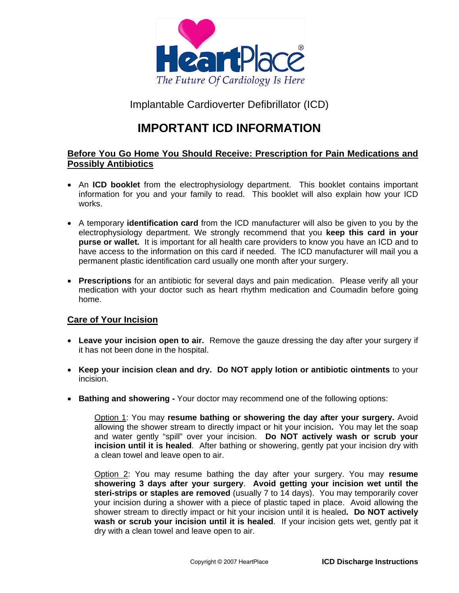

Implantable Cardioverter Defibrillator (ICD)

# **IMPORTANT ICD INFORMATION**

# **Before You Go Home You Should Receive: Prescription for Pain Medications and Possibly Antibiotics**

- An **ICD booklet** from the electrophysiology department. This booklet contains important information for you and your family to read. This booklet will also explain how your ICD works.
- A temporary **identification card** from the ICD manufacturer will also be given to you by the electrophysiology department. We strongly recommend that you **keep this card in your purse or wallet.** It is important for all health care providers to know you have an ICD and to have access to the information on this card if needed. The ICD manufacturer will mail you a permanent plastic identification card usually one month after your surgery.
- **Prescriptions** for an antibiotic for several days and pain medication. Please verify all your medication with your doctor such as heart rhythm medication and Coumadin before going home.

## **Care of Your Incision**

- **Leave your incision open to air.** Remove the gauze dressing the day after your surgery if it has not been done in the hospital.
- **Keep your incision clean and dry. Do NOT apply lotion or antibiotic ointments** to your incision.
- **Bathing and showering** Your doctor may recommend one of the following options:

Option 1: You may **resume bathing or showering the day after your surgery.** Avoid allowing the shower stream to directly impact or hit your incision**.** You may let the soap and water gently "spill" over your incision. **Do NOT actively wash or scrub your incision until it is healed**. After bathing or showering, gently pat your incision dry with a clean towel and leave open to air.

Option 2: You may resume bathing the day after your surgery. You may **resume showering 3 days after your surgery**. **Avoid getting your incision wet until the steri-strips or staples are removed** (usually 7 to 14 days). You may temporarily cover your incision during a shower with a piece of plastic taped in place. Avoid allowing the shower stream to directly impact or hit your incision until it is healed**. Do NOT actively wash or scrub your incision until it is healed**. If your incision gets wet, gently pat it dry with a clean towel and leave open to air.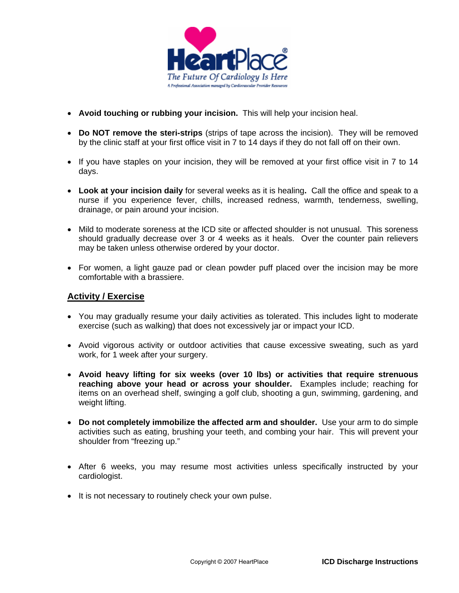

- **Avoid touching or rubbing your incision.** This will help your incision heal.
- **Do NOT remove the steri-strips** (strips of tape across the incision). They will be removed by the clinic staff at your first office visit in 7 to 14 days if they do not fall off on their own.
- If you have staples on your incision, they will be removed at your first office visit in 7 to 14 days.
- **Look at your incision daily** for several weeks as it is healing**.** Call the office and speak to a nurse if you experience fever, chills, increased redness, warmth, tenderness, swelling, drainage, or pain around your incision.
- Mild to moderate soreness at the ICD site or affected shoulder is not unusual. This soreness should gradually decrease over 3 or 4 weeks as it heals. Over the counter pain relievers may be taken unless otherwise ordered by your doctor.
- For women, a light gauze pad or clean powder puff placed over the incision may be more comfortable with a brassiere.

#### **Activity / Exercise**

- You may gradually resume your daily activities as tolerated. This includes light to moderate exercise (such as walking) that does not excessively jar or impact your ICD.
- Avoid vigorous activity or outdoor activities that cause excessive sweating, such as yard work, for 1 week after your surgery.
- **Avoid heavy lifting for six weeks (over 10 lbs) or activities that require strenuous reaching above your head or across your shoulder.** Examples include; reaching for items on an overhead shelf, swinging a golf club, shooting a gun, swimming, gardening, and weight lifting.
- **Do not completely immobilize the affected arm and shoulder.** Use your arm to do simple activities such as eating, brushing your teeth, and combing your hair. This will prevent your shoulder from "freezing up."
- After 6 weeks, you may resume most activities unless specifically instructed by your cardiologist.
- It is not necessary to routinely check your own pulse.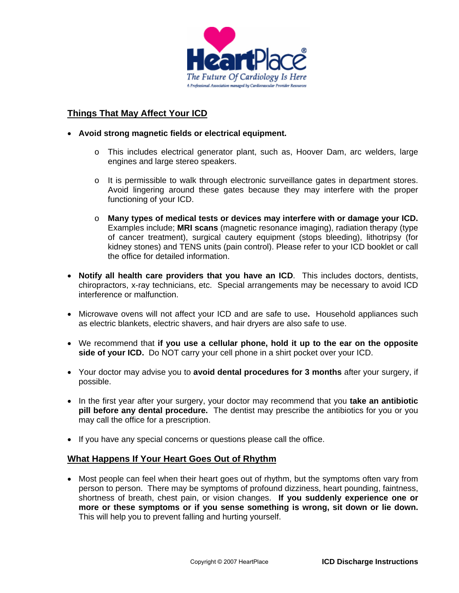

# **Things That May Affect Your ICD**

- **Avoid strong magnetic fields or electrical equipment.**
	- o This includes electrical generator plant, such as, Hoover Dam, arc welders, large engines and large stereo speakers.
	- o It is permissible to walk through electronic surveillance gates in department stores. Avoid lingering around these gates because they may interfere with the proper functioning of your ICD.
	- o **Many types of medical tests or devices may interfere with or damage your ICD.**  Examples include; **MRI scans** (magnetic resonance imaging), radiation therapy (type of cancer treatment), surgical cautery equipment (stops bleeding), lithotripsy (for kidney stones) and TENS units (pain control). Please refer to your ICD booklet or call the office for detailed information.
- **Notify all health care providers that you have an ICD**. This includes doctors, dentists, chiropractors, x-ray technicians, etc. Special arrangements may be necessary to avoid ICD interference or malfunction.
- Microwave ovens will not affect your ICD and are safe to use**.** Household appliances such as electric blankets, electric shavers, and hair dryers are also safe to use.
- We recommend that **if you use a cellular phone, hold it up to the ear on the opposite side of your ICD.** Do NOT carry your cell phone in a shirt pocket over your ICD.
- Your doctor may advise you to **avoid dental procedures for 3 months** after your surgery, if possible.
- In the first year after your surgery, your doctor may recommend that you **take an antibiotic pill before any dental procedure.** The dentist may prescribe the antibiotics for you or you may call the office for a prescription.
- If you have any special concerns or questions please call the office.

#### **What Happens If Your Heart Goes Out of Rhythm**

• Most people can feel when their heart goes out of rhythm, but the symptoms often vary from person to person. There may be symptoms of profound dizziness, heart pounding, faintness, shortness of breath, chest pain, or vision changes. **If you suddenly experience one or more or these symptoms or if you sense something is wrong, sit down or lie down.**  This will help you to prevent falling and hurting yourself.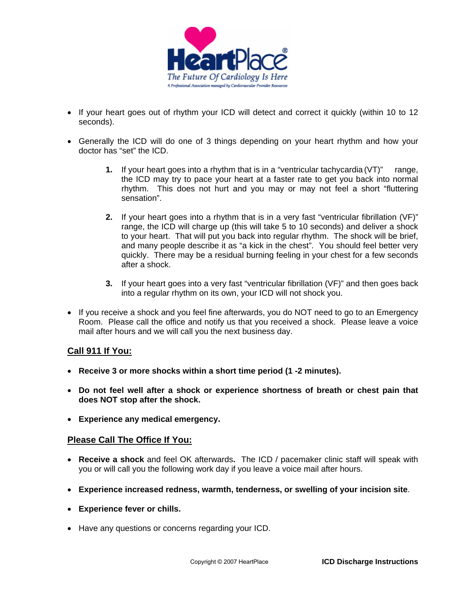

- If your heart goes out of rhythm your ICD will detect and correct it quickly (within 10 to 12 seconds).
- Generally the ICD will do one of 3 things depending on your heart rhythm and how your doctor has "set" the ICD.
	- **1.** If your heart goes into a rhythm that is in a "ventricular tachycardia (VT)" range, the ICD may try to pace your heart at a faster rate to get you back into normal rhythm. This does not hurt and you may or may not feel a short "fluttering sensation".
	- **2.** If your heart goes into a rhythm that is in a very fast "ventricular fibrillation (VF)" range, the ICD will charge up (this will take 5 to 10 seconds) and deliver a shock to your heart. That will put you back into regular rhythm. The shock will be brief, and many people describe it as "a kick in the chest". You should feel better very quickly. There may be a residual burning feeling in your chest for a few seconds after a shock.
	- **3.** If your heart goes into a very fast "ventricular fibrillation (VF)" and then goes back into a regular rhythm on its own, your ICD will not shock you.
- If you receive a shock and you feel fine afterwards, you do NOT need to go to an Emergency Room. Please call the office and notify us that you received a shock. Please leave a voice mail after hours and we will call you the next business day.

## **Call 911 If You:**

- **Receive 3 or more shocks within a short time period (1 -2 minutes).**
- **Do not feel well after a shock or experience shortness of breath or chest pain that does NOT stop after the shock.**
- **Experience any medical emergency.**

## **Please Call The Office If You:**

- **Receive a shock** and feel OK afterwards**.** The ICD / pacemaker clinic staff will speak with you or will call you the following work day if you leave a voice mail after hours.
- **Experience increased redness, warmth, tenderness, or swelling of your incision site**.
- **Experience fever or chills.**
- Have any questions or concerns regarding your ICD.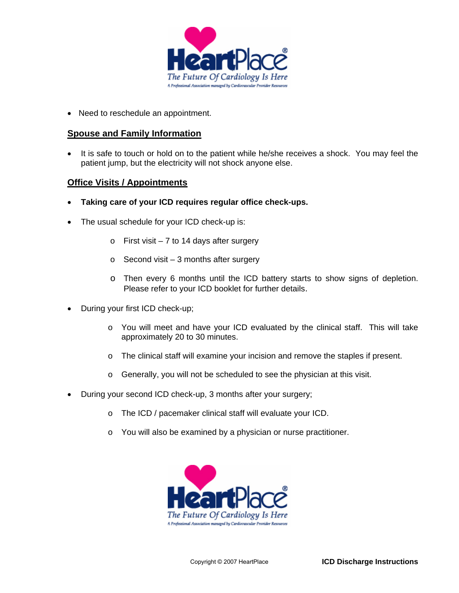

• Need to reschedule an appointment.

#### **Spouse and Family Information**

• It is safe to touch or hold on to the patient while he/she receives a shock. You may feel the patient jump, but the electricity will not shock anyone else.

### **Office Visits / Appointments**

- **Taking care of your ICD requires regular office check-ups.**
- The usual schedule for your ICD check-up is:
	- $\circ$  First visit 7 to 14 days after surgery
	- $\circ$  Second visit 3 months after surgery
	- o Then every 6 months until the ICD battery starts to show signs of depletion. Please refer to your ICD booklet for further details.
- During your first ICD check-up;
	- $\circ$  You will meet and have your ICD evaluated by the clinical staff. This will take approximately 20 to 30 minutes.
	- o The clinical staff will examine your incision and remove the staples if present.
	- o Generally, you will not be scheduled to see the physician at this visit.
- During your second ICD check-up, 3 months after your surgery;
	- o The ICD / pacemaker clinical staff will evaluate your ICD.
	- o You will also be examined by a physician or nurse practitioner.